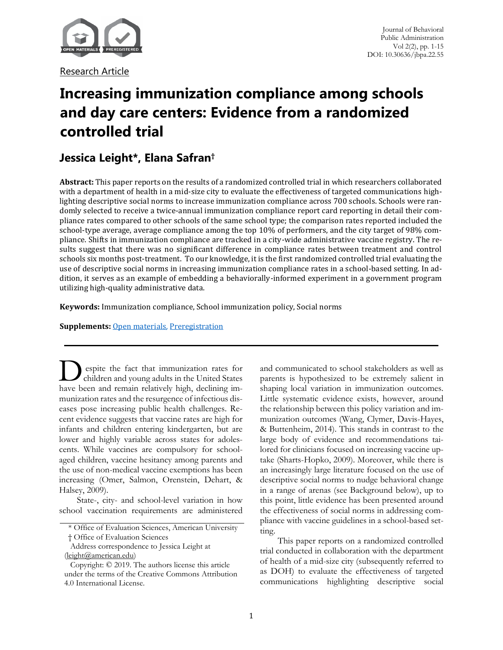

Research Article

# **Increasing immunization compliance among schools and day care centers: Evidence from a randomized controlled trial**

## **Jessica Leight\*, Elana Safran†**

**Abstract:** This paper reports on the results of a randomized controlled trial in which researchers collaborated with a department of health in a mid-size city to evaluate the effectiveness of targeted communications highlighting descriptive social norms to increase immunization compliance across 700 schools. Schools were randomly selected to receive a twice-annual immunization compliance report card reporting in detail their compliance rates compared to other schools of the same school type; the comparison rates reported included the school-type average, average compliance among the top 10% of performers, and the city target of 98% compliance. Shifts in immunization compliance are tracked in a city-wide administrative vaccine registry. The results suggest that there was no significant difference in compliance rates between treatment and control schools six months post-treatment. To our knowledge, it is the first randomized controlled trial evaluating the use of descriptive social norms in increasing immunization compliance rates in a school-based setting. In addition, it serves as an example of embedding a behaviorally-informed experiment in a government program utilizing high-quality administrative data.

**Keywords:** Immunization compliance, School immunization policy, Social norms

**Supplements: [Open materials,](#page-11-0) [Preregistration](https://www.socialscienceregistry.org/trials/2486)** 

espite the fact that immunization rates for espite the ract that the United States<br>children and young adults in the United States **have been** and young adults in the United States have been and remain relatively high, declining immunization rates and the resurgence of infectious diseases pose increasing public health challenges. Recent evidence suggests that vaccine rates are high for infants and children entering kindergarten, but are lower and highly variable across states for adolescents. While vaccines are compulsory for schoolaged children, vaccine hesitancy among parents and the use of non-medical vaccine exemptions has been increasing (Omer, Salmon, Orenstein, Dehart, & Halsey, 2009).

State-, city- and school-level variation in how school vaccination requirements are administered and communicated to school stakeholders as well as parents is hypothesized to be extremely salient in shaping local variation in immunization outcomes. Little systematic evidence exists, however, around the relationship between this policy variation and immunization outcomes (Wang, Clymer, Davis-Hayes, & Buttenheim, 2014). This stands in contrast to the large body of evidence and recommendations tailored for clinicians focused on increasing vaccine uptake (Sharts-Hopko, 2009). Moreover, while there is an increasingly large literature focused on the use of descriptive social norms to nudge behavioral change in a range of arenas (see Background below), up to this point, little evidence has been presented around the effectiveness of social norms in addressing compliance with vaccine guidelines in a school-based setting.

This paper reports on a randomized controlled trial conducted in collaboration with the department of health of a mid-size city (subsequently referred to as DOH) to evaluate the effectiveness of targeted communications highlighting descriptive social

<sup>\*</sup> Office of Evaluation Sciences, American University

<sup>†</sup> Office of Evaluation Sciences

Address correspondence to Jessica Leight at

<sup>(</sup>leight@american.edu) Copyright: © 2019. The authors license this article

under the terms of the Creative Commons Attribution 4.0 International License.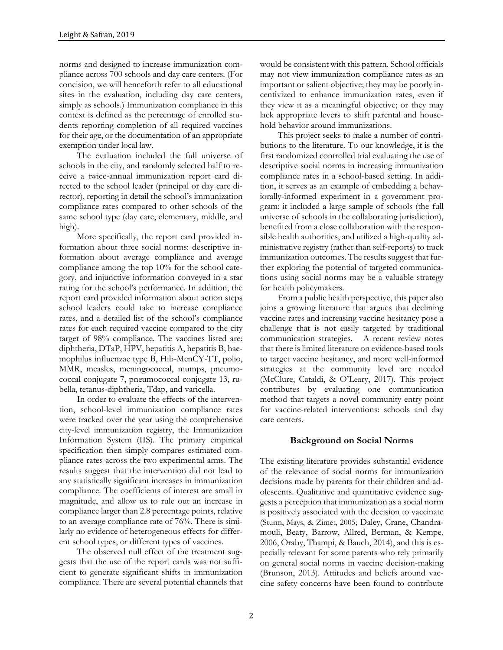norms and designed to increase immunization compliance across 700 schools and day care centers. (For concision, we will henceforth refer to all educational sites in the evaluation, including day care centers, simply as schools.) Immunization compliance in this context is defined as the percentage of enrolled students reporting completion of all required vaccines for their age, or the documentation of an appropriate exemption under local law.

The evaluation included the full universe of schools in the city, and randomly selected half to receive a twice-annual immunization report card directed to the school leader (principal or day care director), reporting in detail the school's immunization compliance rates compared to other schools of the same school type (day care, elementary, middle, and high).

More specifically, the report card provided information about three social norms: descriptive information about average compliance and average compliance among the top 10% for the school category, and injunctive information conveyed in a star rating for the school's performance. In addition, the report card provided information about action steps school leaders could take to increase compliance rates, and a detailed list of the school's compliance rates for each required vaccine compared to the city target of 98% compliance. The vaccines listed are: diphtheria, DTaP, HPV, hepatitis A, hepatitis B, haemophilus influenzae type B, Hib-MenCY-TT, polio, MMR, measles, meningococcal, mumps, pneumococcal conjugate 7, pneumococcal conjugate 13, rubella, tetanus-diphtheria, Tdap, and varicella.

In order to evaluate the effects of the intervention, school-level immunization compliance rates were tracked over the year using the comprehensive city-level immunization registry, the Immunization Information System (IIS). The primary empirical specification then simply compares estimated compliance rates across the two experimental arms. The results suggest that the intervention did not lead to any statistically significant increases in immunization compliance. The coefficients of interest are small in magnitude, and allow us to rule out an increase in compliance larger than 2.8 percentage points, relative to an average compliance rate of 76%. There is similarly no evidence of heterogeneous effects for different school types, or different types of vaccines.

The observed null effect of the treatment suggests that the use of the report cards was not sufficient to generate significant shifts in immunization compliance. There are several potential channels that would be consistent with this pattern. School officials may not view immunization compliance rates as an important or salient objective; they may be poorly incentivized to enhance immunization rates, even if they view it as a meaningful objective; or they may lack appropriate levers to shift parental and household behavior around immunizations.

This project seeks to make a number of contributions to the literature. To our knowledge, it is the first randomized controlled trial evaluating the use of descriptive social norms in increasing immunization compliance rates in a school-based setting. In addition, it serves as an example of embedding a behaviorally-informed experiment in a government program: it included a large sample of schools (the full universe of schools in the collaborating jurisdiction), benefited from a close collaboration with the responsible health authorities, and utilized a high-quality administrative registry (rather than self-reports) to track immunization outcomes. The results suggest that further exploring the potential of targeted communications using social norms may be a valuable strategy for health policymakers.

From a public health perspective, this paper also joins a growing literature that argues that declining vaccine rates and increasing vaccine hesitancy pose a challenge that is not easily targeted by traditional communication strategies. A recent review notes that there is limited literature on evidence-based tools to target vaccine hesitancy, and more well-informed strategies at the community level are needed (McClure, Cataldi, & O'Leary, 2017). This project contributes by evaluating one communication method that targets a novel community entry point for vaccine-related interventions: schools and day care centers.

### **Background on Social Norms**

The existing literature provides substantial evidence of the relevance of social norms for immunization decisions made by parents for their children and adolescents. Qualitative and quantitative evidence suggests a perception that immunization as a social norm is positively associated with the decision to vaccinate (Sturm, Mays, & Zimet, 2005; Daley, Crane, Chandramouli, Beaty, Barrow, Allred, Berman, & Kempe, 2006, Oraby, Thampi, & Bauch, 2014), and this is especially relevant for some parents who rely primarily on general social norms in vaccine decision-making (Brunson, 2013). Attitudes and beliefs around vaccine safety concerns have been found to contribute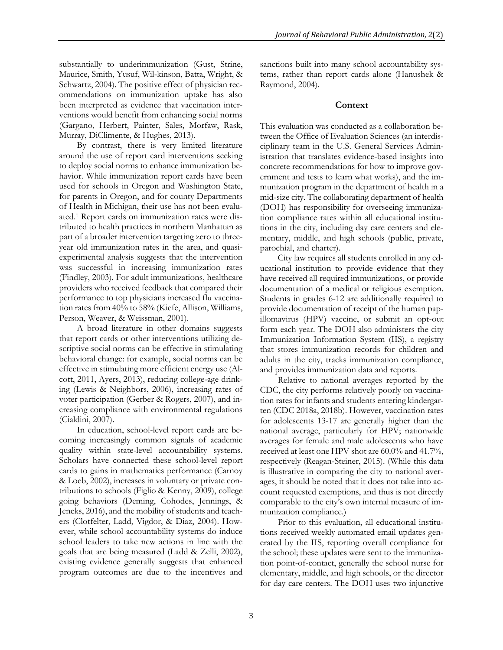substantially to underimmunization (Gust, Strine, Maurice, Smith, Yusuf, Wil-kinson, Batta, Wright, & Schwartz, 2004). The positive effect of physician recommendations on immunization uptake has also been interpreted as evidence that vaccination interventions would benefit from enhancing social norms (Gargano, Herbert, Painter, Sales, Morfaw, Rask, Murray, DiClimente, & Hughes, 2013).

By contrast, there is very limited literature around the use of report card interventions seeking to deploy social norms to enhance immunization behavior. While immunization report cards have been used for schools in Oregon and Washington State, for parents in Oregon, and for county Departments of Health in Michigan, their use has not been evaluated.<sup>1</sup> Report cards on immunization rates were distributed to health practices in northern Manhattan as part of a broader intervention targeting zero to threeyear old immunization rates in the area, and quasiexperimental analysis suggests that the intervention was successful in increasing immunization rates (Findley, 2003). For adult immunizations, healthcare providers who received feedback that compared their performance to top physicians increased flu vaccination rates from 40% to 58% (Kiefe, Allison, Williams, Person, Weaver, & Weissman, 2001).

A broad literature in other domains suggests that report cards or other interventions utilizing descriptive social norms can be effective in stimulating behavioral change: for example, social norms can be effective in stimulating more efficient energy use (Alcott, 2011, Ayers, 2013), reducing college-age drinking (Lewis & Neighbors, 2006), increasing rates of voter participation (Gerber & Rogers, 2007), and increasing compliance with environmental regulations (Cialdini, 2007).

In education, school-level report cards are becoming increasingly common signals of academic quality within state-level accountability systems. Scholars have connected these school-level report cards to gains in mathematics performance (Carnoy & Loeb, 2002), increases in voluntary or private contributions to schools (Figlio & Kenny, 2009), college going behaviors (Deming, Cohodes, Jennings, & Jencks, 2016), and the mobility of students and teachers (Clotfelter, Ladd, Vigdor, & Diaz, 2004). However, while school accountability systems do induce school leaders to take new actions in line with the goals that are being measured (Ladd & Zelli, 2002), existing evidence generally suggests that enhanced program outcomes are due to the incentives and sanctions built into many school accountability systems, rather than report cards alone (Hanushek & Raymond, 2004).

#### **Context**

This evaluation was conducted as a collaboration between the Office of Evaluation Sciences (an interdisciplinary team in the U.S. General Services Administration that translates evidence-based insights into concrete recommendations for how to improve government and tests to learn what works), and the immunization program in the department of health in a mid-size city. The collaborating department of health (DOH) has responsibility for overseeing immunization compliance rates within all educational institutions in the city, including day care centers and elementary, middle, and high schools (public, private, parochial, and charter).

City law requires all students enrolled in any educational institution to provide evidence that they have received all required immunizations, or provide documentation of a medical or religious exemption. Students in grades 6-12 are additionally required to provide documentation of receipt of the human papillomavirus (HPV) vaccine, or submit an opt-out form each year. The DOH also administers the city Immunization Information System (IIS), a registry that stores immunization records for children and adults in the city, tracks immunization compliance, and provides immunization data and reports.

Relative to national averages reported by the CDC, the city performs relatively poorly on vaccination rates for infants and students entering kindergarten (CDC 2018a, 2018b). However, vaccination rates for adolescents 13-17 are generally higher than the national average, particularly for HPV; nationwide averages for female and male adolescents who have received at least one HPV shot are 60.0% and 41.7%, respectively (Reagan-Steiner, 2015). (While this data is illustrative in comparing the city to national averages, it should be noted that it does not take into account requested exemptions, and thus is not directly comparable to the city's own internal measure of immunization compliance.)

Prior to this evaluation, all educational institutions received weekly automated email updates generated by the IIS, reporting overall compliance for the school; these updates were sent to the immunization point-of-contact, generally the school nurse for elementary, middle, and high schools, or the director for day care centers. The DOH uses two injunctive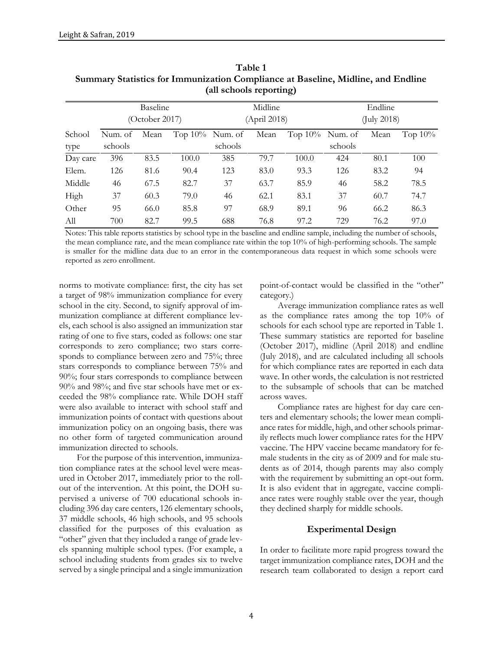|          |         | Baseline       |                    |         | Midline     |                    |         | Endline     |            |  |
|----------|---------|----------------|--------------------|---------|-------------|--------------------|---------|-------------|------------|--|
|          |         | (October 2017) |                    |         | (Apri 2018) |                    |         | (July 2018) |            |  |
| School   | Num. of | Mean           | Top $10\%$ Num. of |         | Mean        | Top $10\%$ Num. of |         | Mean        | Top $10\%$ |  |
| type     | schools |                |                    | schools |             |                    | schools |             |            |  |
| Day care | 396     | 83.5           | 100.0              | 385     | 79.7        | 100.0              | 424     | 80.1        | 100        |  |
| Elem.    | 126     | 81.6           | 90.4               | 123     | 83.0        | 93.3               | 126     | 83.2        | 94         |  |
| Middle   | 46      | 67.5           | 82.7               | 37      | 63.7        | 85.9               | 46      | 58.2        | 78.5       |  |
| High     | 37      | 60.3           | 79.0               | 46      | 62.1        | 83.1               | 37      | 60.7        | 74.7       |  |
| Other    | 95      | 66.0           | 85.8               | 97      | 68.9        | 89.1               | 96      | 66.2        | 86.3       |  |
| All      | 700     | 82.7           | 99.5               | 688     | 76.8        | 97.2               | 729     | 76.2        | 97.0       |  |

**Table 1 Summary Statistics for Immunization Compliance at Baseline, Midline, and Endline (all schools reporting)**

Notes: This table reports statistics by school type in the baseline and endline sample, including the number of schools, the mean compliance rate, and the mean compliance rate within the top 10% of high-performing schools. The sample is smaller for the midline data due to an error in the contemporaneous data request in which some schools were reported as zero enrollment.

norms to motivate compliance: first, the city has set a target of 98% immunization compliance for every school in the city. Second, to signify approval of immunization compliance at different compliance levels, each school is also assigned an immunization star rating of one to five stars, coded as follows: one star corresponds to zero compliance; two stars corresponds to compliance between zero and 75%; three stars corresponds to compliance between 75% and 90%; four stars corresponds to compliance between 90% and 98%; and five star schools have met or exceeded the 98% compliance rate. While DOH staff were also available to interact with school staff and immunization points of contact with questions about immunization policy on an ongoing basis, there was no other form of targeted communication around immunization directed to schools.

For the purpose of this intervention, immunization compliance rates at the school level were measured in October 2017, immediately prior to the rollout of the intervention. At this point, the DOH supervised a universe of 700 educational schools including 396 day care centers, 126 elementary schools, 37 middle schools, 46 high schools, and 95 schools classified for the purposes of this evaluation as "other" given that they included a range of grade levels spanning multiple school types. (For example, a school including students from grades six to twelve served by a single principal and a single immunization point-of-contact would be classified in the "other" category.)

Average immunization compliance rates as well as the compliance rates among the top 10% of schools for each school type are reported in Table 1. These summary statistics are reported for baseline (October 2017), midline (April 2018) and endline (July 2018), and are calculated including all schools for which compliance rates are reported in each data wave. In other words, the calculation is not restricted to the subsample of schools that can be matched across waves.

Compliance rates are highest for day care centers and elementary schools; the lower mean compliance rates for middle, high, and other schools primarily reflects much lower compliance rates for the HPV vaccine. The HPV vaccine became mandatory for female students in the city as of 2009 and for male students as of 2014, though parents may also comply with the requirement by submitting an opt-out form. It is also evident that in aggregate, vaccine compliance rates were roughly stable over the year, though they declined sharply for middle schools.

#### **Experimental Design**

In order to facilitate more rapid progress toward the target immunization compliance rates, DOH and the research team collaborated to design a report card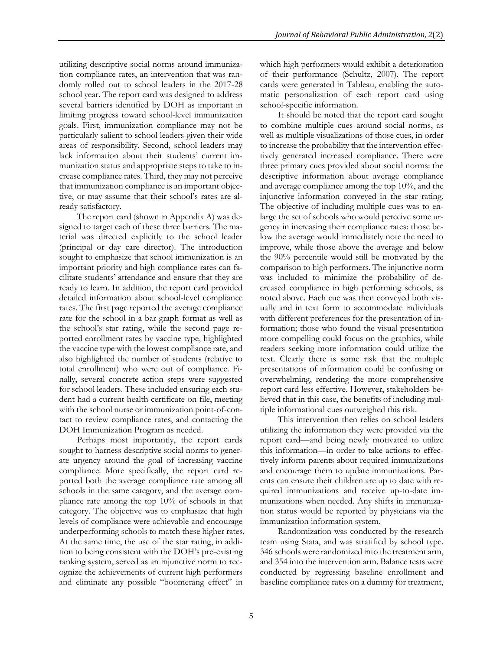utilizing descriptive social norms around immunization compliance rates, an intervention that was randomly rolled out to school leaders in the 2017-28 school year. The report card was designed to address several barriers identified by DOH as important in limiting progress toward school-level immunization goals. First, immunization compliance may not be particularly salient to school leaders given their wide areas of responsibility. Second, school leaders may lack information about their students' current immunization status and appropriate steps to take to increase compliance rates. Third, they may not perceive that immunization compliance is an important objective, or may assume that their school's rates are already satisfactory.

The report card (shown in Appendix A) was designed to target each of these three barriers. The material was directed explicitly to the school leader (principal or day care director). The introduction sought to emphasize that school immunization is an important priority and high compliance rates can facilitate students' attendance and ensure that they are ready to learn. In addition, the report card provided detailed information about school-level compliance rates. The first page reported the average compliance rate for the school in a bar graph format as well as the school's star rating, while the second page reported enrollment rates by vaccine type, highlighted the vaccine type with the lowest compliance rate, and also highlighted the number of students (relative to total enrollment) who were out of compliance. Finally, several concrete action steps were suggested for school leaders. These included ensuring each student had a current health certificate on file, meeting with the school nurse or immunization point-of-contact to review compliance rates, and contacting the DOH Immunization Program as needed.

Perhaps most importantly, the report cards sought to harness descriptive social norms to generate urgency around the goal of increasing vaccine compliance. More specifically, the report card reported both the average compliance rate among all schools in the same category, and the average compliance rate among the top 10% of schools in that category. The objective was to emphasize that high levels of compliance were achievable and encourage underperforming schools to match these higher rates. At the same time, the use of the star rating, in addition to being consistent with the DOH's pre-existing ranking system, served as an injunctive norm to recognize the achievements of current high performers and eliminate any possible "boomerang effect" in

which high performers would exhibit a deterioration of their performance (Schultz, 2007). The report cards were generated in Tableau, enabling the automatic personalization of each report card using school-specific information.

It should be noted that the report card sought to combine multiple cues around social norms, as well as multiple visualizations of those cues, in order to increase the probability that the intervention effectively generated increased compliance. There were three primary cues provided about social norms: the descriptive information about average compliance and average compliance among the top 10%, and the injunctive information conveyed in the star rating. The objective of including multiple cues was to enlarge the set of schools who would perceive some urgency in increasing their compliance rates: those below the average would immediately note the need to improve, while those above the average and below the 90% percentile would still be motivated by the comparison to high performers. The injunctive norm was included to minimize the probability of decreased compliance in high performing schools, as noted above. Each cue was then conveyed both visually and in text form to accommodate individuals with different preferences for the presentation of information; those who found the visual presentation more compelling could focus on the graphics, while readers seeking more information could utilize the text. Clearly there is some risk that the multiple presentations of information could be confusing or overwhelming, rendering the more comprehensive report card less effective. However, stakeholders believed that in this case, the benefits of including multiple informational cues outweighed this risk.

This intervention then relies on school leaders utilizing the information they were provided via the report card—and being newly motivated to utilize this information—in order to take actions to effectively inform parents about required immunizations and encourage them to update immunizations. Parents can ensure their children are up to date with required immunizations and receive up-to-date immunizations when needed. Any shifts in immunization status would be reported by physicians via the immunization information system.

Randomization was conducted by the research team using Stata, and was stratified by school type. 346 schools were randomized into the treatment arm, and 354 into the intervention arm. Balance tests were conducted by regressing baseline enrollment and baseline compliance rates on a dummy for treatment,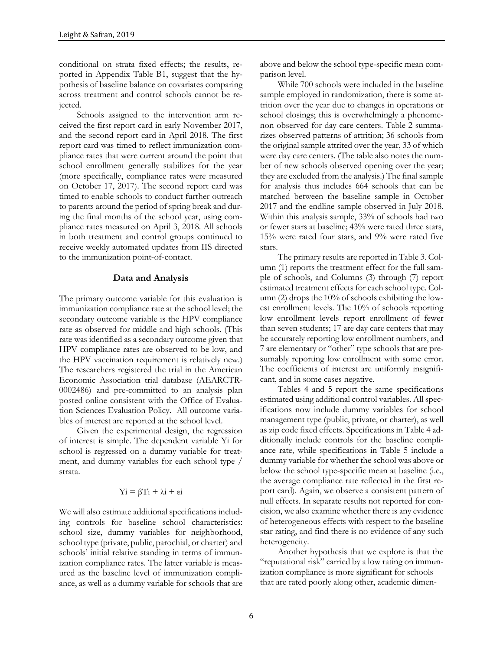conditional on strata fixed effects; the results, reported in Appendix Table B1, suggest that the hypothesis of baseline balance on covariates comparing across treatment and control schools cannot be rejected.

Schools assigned to the intervention arm received the first report card in early November 2017, and the second report card in April 2018. The first report card was timed to reflect immunization compliance rates that were current around the point that school enrollment generally stabilizes for the year (more specifically, compliance rates were measured on October 17, 2017). The second report card was timed to enable schools to conduct further outreach to parents around the period of spring break and during the final months of the school year, using compliance rates measured on April 3, 2018. All schools in both treatment and control groups continued to receive weekly automated updates from IIS directed to the immunization point-of-contact.

#### **Data and Analysis**

The primary outcome variable for this evaluation is immunization compliance rate at the school level; the secondary outcome variable is the HPV compliance rate as observed for middle and high schools. (This rate was identified as a secondary outcome given that HPV compliance rates are observed to be low, and the HPV vaccination requirement is relatively new.) The researchers registered the trial in the American Economic Association trial database (AEARCTR-0002486) and pre-committed to an analysis plan posted online consistent with the Office of Evaluation Sciences Evaluation Policy. All outcome variables of interest are reported at the school level.

Given the experimental design, the regression of interest is simple. The dependent variable Yi for school is regressed on a dummy variable for treatment, and dummy variables for each school type / strata.

#### $Y$ i = βTi +  $\lambda$ i + εi

We will also estimate additional specifications including controls for baseline school characteristics: school size, dummy variables for neighborhood, school type (private, public, parochial, or charter) and schools' initial relative standing in terms of immunization compliance rates. The latter variable is measured as the baseline level of immunization compliance, as well as a dummy variable for schools that are above and below the school type-specific mean comparison level.

While 700 schools were included in the baseline sample employed in randomization, there is some attrition over the year due to changes in operations or school closings; this is overwhelmingly a phenomenon observed for day care centers. Table 2 summarizes observed patterns of attrition; 36 schools from the original sample attrited over the year, 33 of which were day care centers. (The table also notes the number of new schools observed opening over the year; they are excluded from the analysis.) The final sample for analysis thus includes 664 schools that can be matched between the baseline sample in October 2017 and the endline sample observed in July 2018. Within this analysis sample, 33% of schools had two or fewer stars at baseline; 43% were rated three stars, 15% were rated four stars, and 9% were rated five stars.

The primary results are reported in Table 3. Column (1) reports the treatment effect for the full sample of schools, and Columns (3) through (7) report estimated treatment effects for each school type. Column (2) drops the 10% of schools exhibiting the lowest enrollment levels. The 10% of schools reporting low enrollment levels report enrollment of fewer than seven students; 17 are day care centers that may be accurately reporting low enrollment numbers, and 7 are elementary or "other" type schools that are presumably reporting low enrollment with some error. The coefficients of interest are uniformly insignificant, and in some cases negative.

Tables 4 and 5 report the same specifications estimated using additional control variables. All specifications now include dummy variables for school management type (public, private, or charter), as well as zip code fixed effects. Specifications in Table 4 additionally include controls for the baseline compliance rate, while specifications in Table 5 include a dummy variable for whether the school was above or below the school type-specific mean at baseline (i.e., the average compliance rate reflected in the first report card). Again, we observe a consistent pattern of null effects. In separate results not reported for concision, we also examine whether there is any evidence of heterogeneous effects with respect to the baseline star rating, and find there is no evidence of any such heterogeneity.

Another hypothesis that we explore is that the "reputational risk" carried by a low rating on immunization compliance is more significant for schools that are rated poorly along other, academic dimen-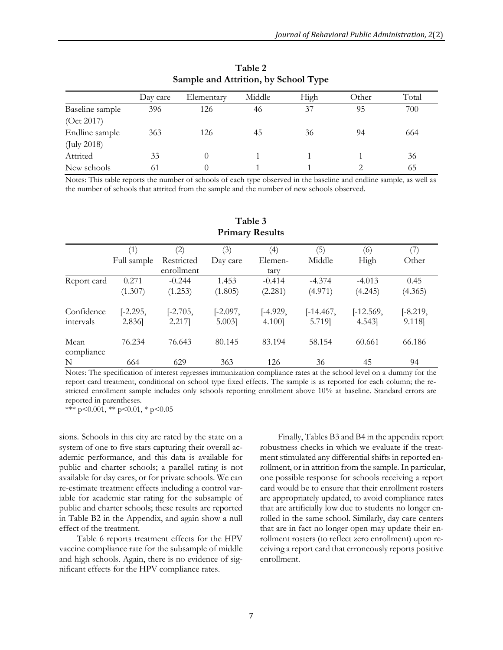| Day care | Elementary | Middle | High | Other | Total |
|----------|------------|--------|------|-------|-------|
| 396      | 126        | 46     | 37   | 95    | 700   |
|          |            |        |      |       |       |
| 363      | 126        | 45     | 36   | 94    | 664   |
|          |            |        |      |       |       |
| 33       |            |        |      |       | 36    |
| 61       | 0          |        |      |       | 65    |
|          |            |        |      |       |       |

**Table 2 Sample and Attrition, by School Type**

Notes: This table reports the number of schools of each type observed in the baseline and endline sample, as well as the number of schools that attrited from the sample and the number of new schools observed.

|                    |             |            | (3)        | $\left( 4\right)$ | '5)         | (6)         |            |
|--------------------|-------------|------------|------------|-------------------|-------------|-------------|------------|
|                    | Full sample | Restricted | Day care   | Elemen-           | Middle      | High        | Other      |
|                    |             | enrollment |            | tary              |             |             |            |
| Report card        | 0.271       | $-0.244$   | 1.453      | $-0.414$          | $-4.374$    | $-4.013$    | 0.45       |
|                    | (1.307)     | (1.253)    | (1.805)    | (2.281)           | (4.971)     | (4.245)     | (4.365)    |
| Confidence         | $[-2.295,$  | $[-2.705,$ | $[-2.097,$ | $[-4.929,$        | $[-14.467,$ | $[-12.569,$ | $[-8.219,$ |
| intervals          | 2.836       | 2.217      | 5.003]     | 4.100]            | 5.719]      | 4.543]      | 9.118]     |
| Mean<br>compliance | 76.234      | 76.643     | 80.145     | 83.194            | 58.154      | 60.661      | 66.186     |
| N                  | 664         | 629        | 363        | 126               | 36          | 45          | 94         |

### **Table 3 Primary Results**

Notes: The specification of interest regresses immunization compliance rates at the school level on a dummy for the report card treatment, conditional on school type fixed effects. The sample is as reported for each column; the restricted enrollment sample includes only schools reporting enrollment above 10% at baseline. Standard errors are reported in parentheses.

\*\*\*  $p<0.001$ , \*\*  $p<0.01$ , \*  $p<0.05$ 

sions. Schools in this city are rated by the state on a system of one to five stars capturing their overall academic performance, and this data is available for public and charter schools; a parallel rating is not available for day cares, or for private schools. We can re-estimate treatment effects including a control variable for academic star rating for the subsample of public and charter schools; these results are reported in Table B2 in the Appendix, and again show a null effect of the treatment.

Table 6 reports treatment effects for the HPV vaccine compliance rate for the subsample of middle and high schools. Again, there is no evidence of significant effects for the HPV compliance rates.

Finally, Tables B3 and B4 in the appendix report robustness checks in which we evaluate if the treatment stimulated any differential shifts in reported enrollment, or in attrition from the sample. In particular, one possible response for schools receiving a report card would be to ensure that their enrollment rosters are appropriately updated, to avoid compliance rates that are artificially low due to students no longer enrolled in the same school. Similarly, day care centers that are in fact no longer open may update their enrollment rosters (to reflect zero enrollment) upon receiving a report card that erroneously reports positive enrollment.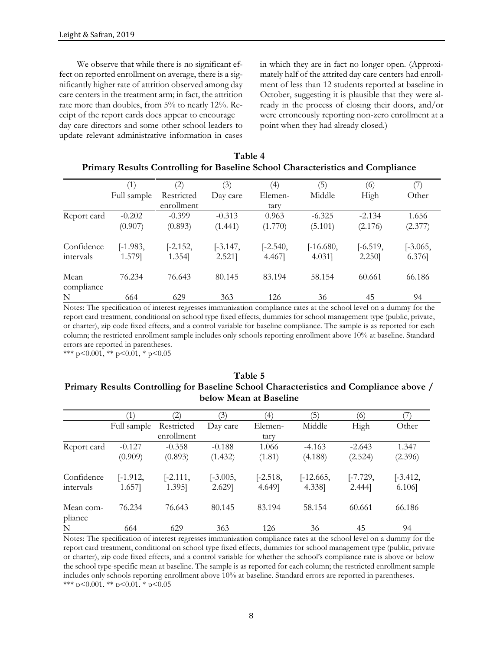We observe that while there is no significant effect on reported enrollment on average, there is a significantly higher rate of attrition observed among day care centers in the treatment arm; in fact, the attrition rate more than doubles, from 5% to nearly 12%. Receipt of the report cards does appear to encourage day care directors and some other school leaders to update relevant administrative information in cases

in which they are in fact no longer open. (Approximately half of the attrited day care centers had enrollment of less than 12 students reported at baseline in October, suggesting it is plausible that they were already in the process of closing their doors, and/or were erroneously reporting non-zero enrollment at a point when they had already closed.)

|                    |             | $\left( 2\right)$ | (3)        | $\left( 4\right)$ | (5)         | (6)        |            |
|--------------------|-------------|-------------------|------------|-------------------|-------------|------------|------------|
|                    | Full sample | Restricted        | Day care   | Elemen-           | Middle      | High       | Other      |
|                    |             | enrollment        |            | tary              |             |            |            |
| Report card        | $-0.202$    | $-0.399$          | $-0.313$   | 0.963             | $-6.325$    | $-2.134$   | 1.656      |
|                    | (0.907)     | (0.893)           | (1.441)    | (1.770)           | (5.101)     | (2.176)    | (2.377)    |
| Confidence         | $[-1.983,$  | $[-2.152,$        | $[-3.147,$ | $[-2.540,$        | $[-16.680,$ | $[-6.519,$ | $[-3.065,$ |
| intervals          | 1.579]      | 1.354]            | 2.521      | 4.467]            | $4.031$ ]   | 2.250]     | 6.376]     |
| Mean<br>compliance | 76.234      | 76.643            | 80.145     | 83.194            | 58.154      | 60.661     | 66.186     |
| N                  | 664         | 629               | 363        | 126               | 36          | 45         | 94         |

| Table 4                                                                        |
|--------------------------------------------------------------------------------|
| Primary Results Controlling for Baseline School Characteristics and Compliance |

Notes: The specification of interest regresses immunization compliance rates at the school level on a dummy for the report card treatment, conditional on school type fixed effects, dummies for school management type (public, private, or charter), zip code fixed effects, and a control variable for baseline compliance. The sample is as reported for each column; the restricted enrollment sample includes only schools reporting enrollment above 10% at baseline. Standard errors are reported in parentheses.

\*\*\* p<0.001, \*\* p<0.01, \* p<0.05

|                      | $\left(1\right)$ | 2)         | (3)        | $^{\prime}$ | (5)         | (6)        |            |
|----------------------|------------------|------------|------------|-------------|-------------|------------|------------|
|                      | Full sample      | Restricted | Day care   | Elemen-     | Middle      | High       | Other      |
|                      |                  | enrollment |            | tary        |             |            |            |
| Report card          | $-0.127$         | $-0.358$   | $-0.188$   | 1.066       | $-4.163$    | $-2.643$   | 1.347      |
|                      | (0.909)          | (0.893)    | (1.432)    | (1.81)      | (4.188)     | (2.524)    | (2.396)    |
| Confidence           | $[-1.912,$       | $[-2.111,$ | $[-3.005,$ | $[-2.518,$  | $[-12.665,$ | $[-7.729,$ | $[-3.412,$ |
| intervals            | 1.657            | 1.395]     | 2.629]     | 4.649]      | 4.338]      | $2.444$ ]  | 6.106      |
| Mean com-<br>pliance | 76.234           | 76.643     | 80.145     | 83.194      | 58.154      | 60.661     | 66.186     |
| N                    | 664              | 629        | 363        | 126         | 36          | 45         | 94         |

### **Table 5 Primary Results Controlling for Baseline School Characteristics and Compliance above / below Mean at Baseline**

Notes: The specification of interest regresses immunization compliance rates at the school level on a dummy for the report card treatment, conditional on school type fixed effects, dummies for school management type (public, private or charter), zip code fixed effects, and a control variable for whether the school's compliance rate is above or below the school type-specific mean at baseline. The sample is as reported for each column; the restricted enrollment sample includes only schools reporting enrollment above 10% at baseline. Standard errors are reported in parentheses. \*\*\* p<0.001, \*\* p<0.01, \* p<0.05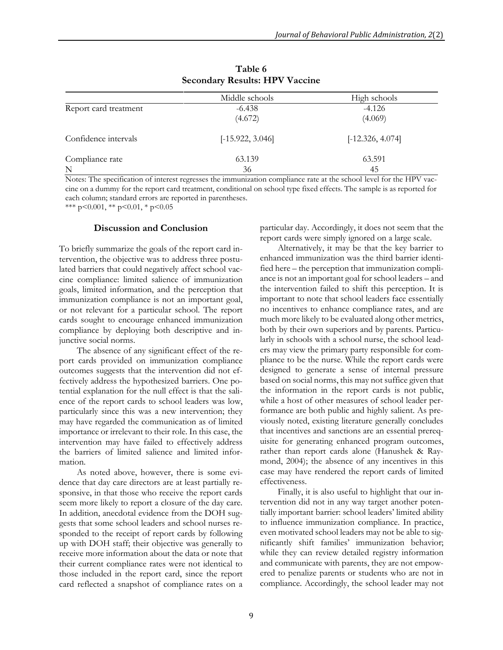|                       | Middle schools     | High schools       |
|-----------------------|--------------------|--------------------|
| Report card treatment | $-6.438$           | $-4.126$           |
|                       | (4.672)            | (4.069)            |
| Confidence intervals  | $[-15.922, 3.046]$ | $[-12.326, 4.074]$ |
| Compliance rate       | 63.139             | 63.591             |
| N                     | 36                 | 45                 |

**Table 6 Secondary Results: HPV Vaccine**

Notes: The specification of interest regresses the immunization compliance rate at the school level for the HPV vaccine on a dummy for the report card treatment, conditional on school type fixed effects. The sample is as reported for each column; standard errors are reported in parentheses.

\*\*\* p<0.001, \*\* p<0.01, \* p<0.05

#### **Discussion and Conclusion**

particular day. Accordingly, it does not seem that the report cards were simply ignored on a large scale.

To briefly summarize the goals of the report card intervention, the objective was to address three postulated barriers that could negatively affect school vaccine compliance: limited salience of immunization goals, limited information, and the perception that immunization compliance is not an important goal, or not relevant for a particular school. The report cards sought to encourage enhanced immunization compliance by deploying both descriptive and injunctive social norms.

The absence of any significant effect of the report cards provided on immunization compliance outcomes suggests that the intervention did not effectively address the hypothesized barriers. One potential explanation for the null effect is that the salience of the report cards to school leaders was low, particularly since this was a new intervention; they may have regarded the communication as of limited importance or irrelevant to their role. In this case, the intervention may have failed to effectively address the barriers of limited salience and limited information.

As noted above, however, there is some evidence that day care directors are at least partially responsive, in that those who receive the report cards seem more likely to report a closure of the day care. In addition, anecdotal evidence from the DOH suggests that some school leaders and school nurses responded to the receipt of report cards by following up with DOH staff; their objective was generally to receive more information about the data or note that their current compliance rates were not identical to those included in the report card, since the report card reflected a snapshot of compliance rates on a

Alternatively, it may be that the key barrier to enhanced immunization was the third barrier identified here – the perception that immunization compliance is not an important goal for school leaders – and the intervention failed to shift this perception. It is important to note that school leaders face essentially no incentives to enhance compliance rates, and are much more likely to be evaluated along other metrics, both by their own superiors and by parents. Particularly in schools with a school nurse, the school leaders may view the primary party responsible for compliance to be the nurse. While the report cards were designed to generate a sense of internal pressure based on social norms, this may not suffice given that the information in the report cards is not public, while a host of other measures of school leader performance are both public and highly salient. As previously noted, existing literature generally concludes that incentives and sanctions are an essential prerequisite for generating enhanced program outcomes, rather than report cards alone (Hanushek & Raymond, 2004); the absence of any incentives in this case may have rendered the report cards of limited effectiveness.

Finally, it is also useful to highlight that our intervention did not in any way target another potentially important barrier: school leaders' limited ability to influence immunization compliance. In practice, even motivated school leaders may not be able to significantly shift families' immunization behavior; while they can review detailed registry information and communicate with parents, they are not empowered to penalize parents or students who are not in compliance. Accordingly, the school leader may not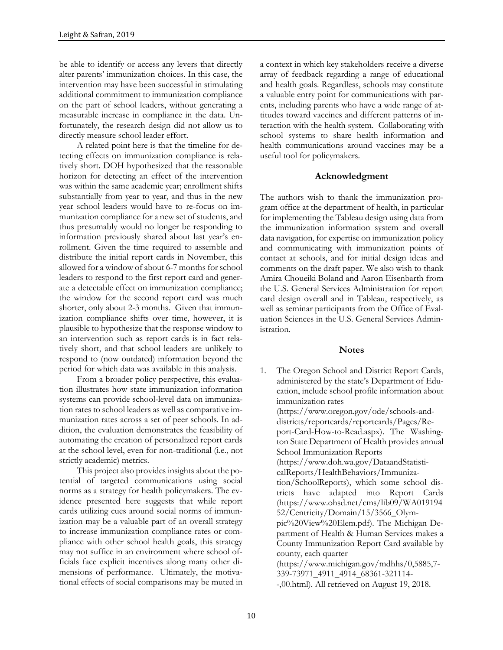be able to identify or access any levers that directly alter parents' immunization choices. In this case, the intervention may have been successful in stimulating additional commitment to immunization compliance on the part of school leaders, without generating a measurable increase in compliance in the data. Unfortunately, the research design did not allow us to directly measure school leader effort.

A related point here is that the timeline for detecting effects on immunization compliance is relatively short. DOH hypothesized that the reasonable horizon for detecting an effect of the intervention was within the same academic year; enrollment shifts substantially from year to year, and thus in the new year school leaders would have to re-focus on immunization compliance for a new set of students, and thus presumably would no longer be responding to information previously shared about last year's enrollment. Given the time required to assemble and distribute the initial report cards in November, this allowed for a window of about 6-7 months for school leaders to respond to the first report card and generate a detectable effect on immunization compliance; the window for the second report card was much shorter, only about 2-3 months. Given that immunization compliance shifts over time, however, it is plausible to hypothesize that the response window to an intervention such as report cards is in fact relatively short, and that school leaders are unlikely to respond to (now outdated) information beyond the period for which data was available in this analysis.

From a broader policy perspective, this evaluation illustrates how state immunization information systems can provide school-level data on immunization rates to school leaders as well as comparative immunization rates across a set of peer schools. In addition, the evaluation demonstrates the feasibility of automating the creation of personalized report cards at the school level, even for non-traditional (i.e., not strictly academic) metrics.

This project also provides insights about the potential of targeted communications using social norms as a strategy for health policymakers. The evidence presented here suggests that while report cards utilizing cues around social norms of immunization may be a valuable part of an overall strategy to increase immunization compliance rates or compliance with other school health goals, this strategy may not suffice in an environment where school officials face explicit incentives along many other dimensions of performance. Ultimately, the motivational effects of social comparisons may be muted in

a context in which key stakeholders receive a diverse array of feedback regarding a range of educational and health goals. Regardless, schools may constitute a valuable entry point for communications with parents, including parents who have a wide range of attitudes toward vaccines and different patterns of interaction with the health system. Collaborating with school systems to share health information and health communications around vaccines may be a useful tool for policymakers.

#### **Acknowledgment**

The authors wish to thank the immunization program office at the department of health, in particular for implementing the Tableau design using data from the immunization information system and overall data navigation, for expertise on immunization policy and communicating with immunization points of contact at schools, and for initial design ideas and comments on the draft paper. We also wish to thank Amira Choueiki Boland and Aaron Eisenbarth from the U.S. General Services Administration for report card design overall and in Tableau, respectively, as well as seminar participants from the Office of Evaluation Sciences in the U.S. General Services Administration.

#### **Notes**

1. The Oregon School and District Report Cards, administered by the state's Department of Education, include school profile information about immunization rates (https://www.oregon.gov/ode/schools-anddistricts/reportcards/reportcards/Pages/Report-Card-How-to-Read.aspx). The Washington State Department of Health provides annual School Immunization Reports (https://www.doh.wa.gov/DataandStatisticalReports/HealthBehaviors/Immunization/SchoolReports), which some school districts have adapted into Report Cards (https://www.ohsd.net/cms/lib09/WA019194 52/Centricity/Domain/15/3566\_Olympic%20View%20Elem.pdf). The Michigan Department of Health & Human Services makes a County Immunization Report Card available by county, each quarter (https://www.michigan.gov/mdhhs/0,5885,7- 339-73971\_4911\_4914\_68361-321114- -,00.html). All retrieved on August 19, 2018.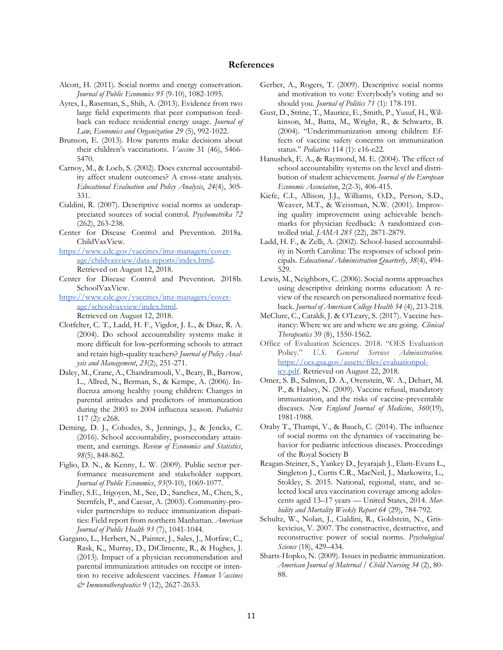#### **References**

- Alcott, H. (2011). Social norms and energy conservation. *Journal of Public Economics 95* (9-10), 1082-1095.
- Ayres, I., Raseman, S., Shih, A. (2013). Evidence from two large field experiments that peer comparison feedback can reduce residential energy usage. *Journal of Law, Economics and Organization 29* (5), 992-1022.
- Brunson, E. (2013). How parents make decisions about their children's vaccinations. *Vaccine* 31 (46), 5466- 5470.
- Carnoy, M., & Loeb, S. (2002). Does external accountability affect student outcomes? A cross-state analysis. *Educational Evaluation and Policy Analysis*, *24*(4), 305- 331.
- Cialdini, R. (2007). Descriptive social norms as underappreciated sources of social control. *Psychometrika 72*  (262), 263-238.
- Center for Disease Control and Prevention. 2018a. ChildVaxView.
- [https://www.cdc.gov/vaccines/imz-managers/cover](https://www.cdc.gov/vaccines/imz-managers/coverage/childvaxview/data-reports/index.html)[age/childvaxview/data-reports/index.html.](https://www.cdc.gov/vaccines/imz-managers/coverage/childvaxview/data-reports/index.html)  Retrieved on August 12, 2018.
- Center for Disease Control and Prevention. 2018b. SchoolVaxView.

[https://www.cdc.gov/vaccines/imz-managers/cover](https://www.cdc.gov/vaccines/imz-managers/coverage/schoolvaxview/index.html)[age/schoolvaxview/index.html.](https://www.cdc.gov/vaccines/imz-managers/coverage/schoolvaxview/index.html) Retrieved on August 12, 2018.

- Clotfelter, C. T., Ladd, H. F., Vigdor, J. L., & Diaz, R. A. (2004). Do school accountability systems make it more difficult for low‐performing schools to attract and retain high‐quality teachers? *Journal of Policy Analysis and Management*, *23*(2), 251-271.
- Daley, M., Crane, A., Chandramouli, V., Beaty, B., Barrow, L., Allred, N., Berman, S., & Kempe, A. (2006). Influenza among healthy young children: Changes in parental attitudes and predictors of immunization during the 2003 to 2004 influenza season. *Pediatrics*  117 (2): e268.
- Deming, D. J., Cohodes, S., Jennings, J., & Jencks, C. (2016). School accountability, postsecondary attainment, and earnings. *Review of Economics and Statistics*, *98*(5), 848-862.
- Figlio, D. N., & Kenny, L. W. (2009). Public sector performance measurement and stakeholder support. *Journal of Public Economics*, *93*(9-10), 1069-1077.
- Findley, S.E., Irigoyen, M., See, D., Sanchez, M., Chen, S., Sternfels, P., and Caesar, A. (2003). Community-provider partnerships to reduce immunization disparities: Field report from northern Manhattan. *American Journal of Public Health 93* (7), 1041-1044.
- Gargano, L., Herbert, N., Painter, J., Sales, J., Morfaw, C., Rask, K., Murray, D., DiClimente, R., & Hughes, J. (2013). Impact of a physician recommendation and parental immunization attitudes on receipt or intention to receive adolescent vaccines. *Human Vaccines & Immunotherapeutics* 9 (12), 2627-2633.
- Gerber, A., Rogers, T. (2009). Descriptive social norms and motivation to vote: Everybody's voting and so should you. *Journal of Politics 71* (1): 178-191.
- Gust, D., Strine, T., Maurice, E., Smith, P., Yusuf, H., Wilkinson, M., Batta, M., Wright, R., & Schwartz, B. (2004). "Underimmunization among children: Effects of vaccine safety concerns on immunization status." *Pediatrics* 114 (1): e16-e22.
- Hanushek, E. A., & Raymond, M. E. (2004). The effect of school accountability systems on the level and distribution of student achievement. *Journal of the European Economic Association*, 2(2-3), 406-415.
- Kiefe, C.I., Allison, J.J., Williams, O.D., Person, S.D., Weaver, M.T., & Weissman, N.W. (2001). Improving quality improvement using achievable benchmarks for physician feedback: A randomized controlled trial. *JAMA 285* (22), 2871-2879.
- Ladd, H. F., & Zelli, A. (2002). School-based accountability in North Carolina: The responses of school principals. *Educational Administration Quarterly*, *38*(4), 494- 529.
- Lewis, M., Neighbors, C. (2006). Social norms approaches using descriptive drinking norms education: A review of the research on personalized normative feedback. *Journal of American College Health 54* (4), 213-218.
- McClure, C., Cataldi, J. & O'Leary, S. (2017). Vaccine hesitancy: Where we are and where we are going. *Clinical Therapeutics* 39 (8), 1550-1562.
- Office of Evaluation Sciences. 2018. "OES Evaluation Policy." *U.S. General Services Administration.* [https://oes.gsa.gov/assets/files/evaluationpol](https://oes.gsa.gov/assets/files/evaluationpolicy.pdf)[icy.pdf.](https://oes.gsa.gov/assets/files/evaluationpolicy.pdf) Retrieved on August 22, 2018.
- Omer, S. B., Salmon, D. A., Orenstein, W. A., Dehart, M. P., & Halsey, N. (2009). Vaccine refusal, mandatory immunization, and the risks of vaccine-preventable diseases. *New England Journal of Medicine*, *360*(19), 1981-1988.
- Oraby T., Thampi, V., & Bauch, C. (2014). The influence of social norms on the dynamics of vaccinating behavior for pediatric infectious diseases. Proceedings of the Royal Society B
- Reagan-Steiner, S., Yankey D., Jeyarajah J., Elam-Evans L., Singleton J., Curtis C.R., MacNeil, J., Markowitz, L., Stokley, S. 2015. National, regional, state, and selected local area vaccination coverage among adolescents aged 13–17 years — United States, 2014. *Morbidity and Mortality Weekly Report 64* (29), 784-792.
- Schultz, W., Nolan, J., Cialdini, R., Goldstein, N., Griskevicius, V. 2007. The constructive, destructive, and reconstructive power of social norms. *Psychological Science* (18), 429–434.
- Sharts-Hopko, N. (2009). Issues in pediatric immunization. *American Journal of Maternal / Child Nursing 34* (2), 80- 88.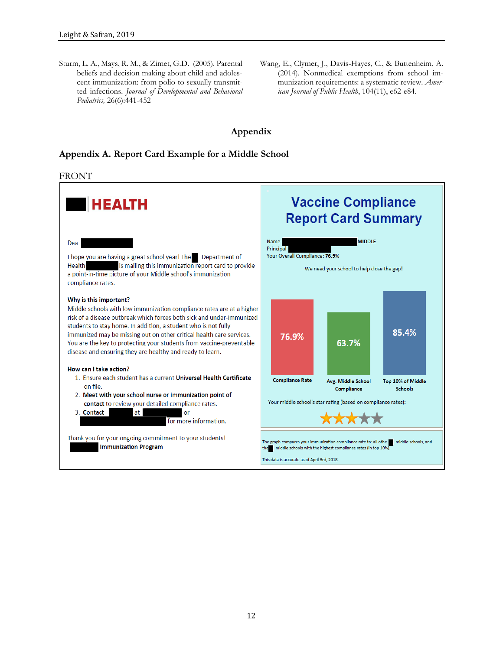Sturm, L. A., Mays, R. M., & Zimet, G.D. (2005). Parental beliefs and decision making about child and adolescent immunization: from polio to sexually transmitted infections. *Journal of Developmental and Behavioral Pediatrics,* 26(6):441-452

Wang, E., Clymer, J., Davis-Hayes, C., & Buttenheim, A. (2014). Nonmedical exemptions from school immunization requirements: a systematic review. *American Journal of Public Health*, 104(11), e62-e84.

### **Appendix**

### <span id="page-11-0"></span>**Appendix A. Report Card Example for a Middle School**

#### FRONT

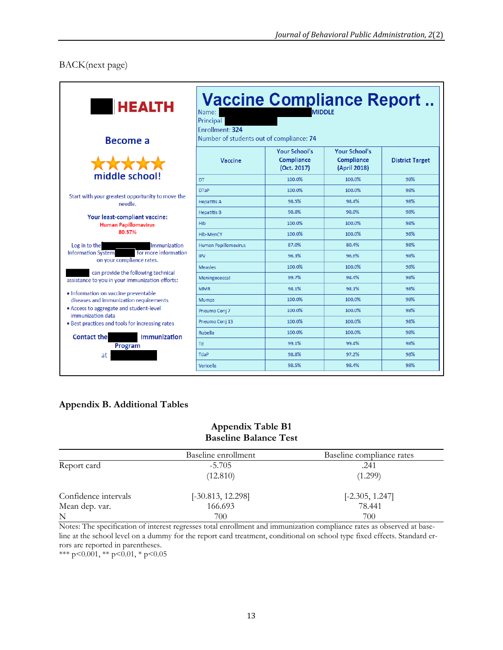## BACK(next page)

| <b>HEALTH</b><br><b>Become a</b>                                                       | <b>Vaccine Compliance Report</b><br><b>MIDDLE</b><br>Name:<br><b>Principal</b><br>Enrollment: 324<br>Number of students out of compliance: 74 |                                                   |                                                    |                        |  |  |  |  |
|----------------------------------------------------------------------------------------|-----------------------------------------------------------------------------------------------------------------------------------------------|---------------------------------------------------|----------------------------------------------------|------------------------|--|--|--|--|
|                                                                                        | Vaccine                                                                                                                                       | <b>Your School's</b><br>Compliance<br>(Oct. 2017) | <b>Your School's</b><br>Compliance<br>(April 2018) | <b>District Target</b> |  |  |  |  |
| middle school!                                                                         | DT                                                                                                                                            | 100.0%                                            | 100.0%                                             | 98%                    |  |  |  |  |
|                                                                                        | <b>DTaP</b>                                                                                                                                   | 100.0%                                            | 100.0%                                             | 98%                    |  |  |  |  |
| Start with your greatest opportunity to move the<br>needle.                            | <b>Hepatitis A</b>                                                                                                                            | 98.5%                                             | 98.4%                                              | 98%                    |  |  |  |  |
|                                                                                        | <b>Hepatitis B</b>                                                                                                                            | 98.8%                                             | 98.8%                                              | 98%                    |  |  |  |  |
| Your least-compliant vaccine:<br><b>Human Papillomavirus</b>                           | <b>Hib</b>                                                                                                                                    | 100.0%                                            | 100.0%                                             | 98%                    |  |  |  |  |
| 80.37%                                                                                 | Hib-MenCY                                                                                                                                     | 100.0%                                            | 100.0%                                             | 98%                    |  |  |  |  |
| Log in to the<br>Immunization                                                          | <b>Human Papillomavirus</b>                                                                                                                   | 87.0%                                             | 80.4%                                              | 98%                    |  |  |  |  |
| for more information<br><b>Information System</b><br>on your compliance rates.         | <b>IPV</b>                                                                                                                                    | 96.3%                                             | 96.6%                                              | 98%                    |  |  |  |  |
|                                                                                        | <b>Measles</b>                                                                                                                                | 100.0%                                            | 100.0%                                             | 98%                    |  |  |  |  |
| can provide the following technical<br>assistance to you in your immunization efforts: | Meningococcal                                                                                                                                 | 99.7%                                             | 98.4%                                              | 98%                    |  |  |  |  |
| · Information on vaccine preventable                                                   | <b>MMR</b>                                                                                                                                    | 98.1%                                             | 98.1%                                              | 98%                    |  |  |  |  |
| diseases and immunization requirements                                                 | <b>Mumps</b>                                                                                                                                  | 100.0%                                            | 100.0%                                             | 98%                    |  |  |  |  |
| • Access to aggregate and student-level<br>immunization data                           | Pneumo Conj 7                                                                                                                                 | 100.0%                                            | 100.0%                                             | 98%                    |  |  |  |  |
| . Best practices and tools for increasing rates                                        | Pneumo Conj 13                                                                                                                                | 100.0%                                            | 100.0%                                             | 98%                    |  |  |  |  |
| Immunization<br><b>Contact the</b>                                                     | Rubella                                                                                                                                       | 100.0%                                            | 100.0%                                             | 98%                    |  |  |  |  |
| Program                                                                                | <b>hT</b>                                                                                                                                     | 99.1%                                             | 99.4%                                              | 98%                    |  |  |  |  |
| at                                                                                     | TdaP                                                                                                                                          | 98.8%                                             | 97.2%                                              | 98%                    |  |  |  |  |
|                                                                                        | Varicella                                                                                                                                     | 98.5%                                             | 98.4%                                              | 98%                    |  |  |  |  |

## **Appendix B. Additional Tables**

## **Appendix Table B1 Baseline Balance Test**

|                      | Baseline enrollment | Baseline compliance rates |
|----------------------|---------------------|---------------------------|
| Report card          | $-5.705$            | .241                      |
|                      | (12.810)            | (1.299)                   |
| Confidence intervals | $[-30.813, 12.298]$ | $[-2.305, 1.247]$         |
| Mean dep. var.       | 166.693             | 78.441                    |
| N                    | 700                 | 700                       |

Notes: The specification of interest regresses total enrollment and immunization compliance rates as observed at baseline at the school level on a dummy for the report card treatment, conditional on school type fixed effects. Standard errors are reported in parentheses.

\*\*\* p<0.001, \*\* p<0.01, \* p<0.05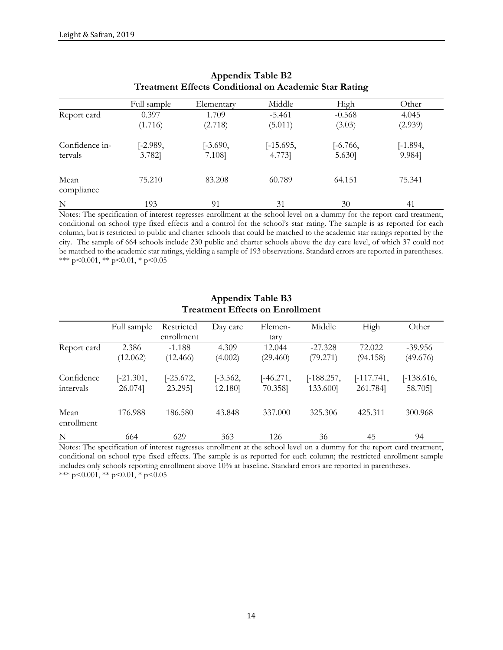|                    |             | $\frac{1}{2}$ |             |            |            |
|--------------------|-------------|---------------|-------------|------------|------------|
|                    | Full sample | Elementary    | Middle      | High       | Other      |
| Report card        | 0.397       | 1.709         | $-5.461$    | $-0.568$   | 4.045      |
|                    | (1.716)     | (2.718)       | (5.011)     | (3.03)     | (2.939)    |
| Confidence in-     | $[-2.989,$  | $[-3.690,$    | $[-15.695,$ | $[-6.766,$ | $[-1.894,$ |
| tervals            | 3.782]      | 7.108]        | 4.773]      | 5.630]     | 9.984]     |
| Mean<br>compliance | 75.210      | 83.208        | 60.789      | 64.151     | 75.341     |
| N                  | 193         | 91            | 31          | 30         | 41         |

## **Appendix Table B2 Treatment Effects Conditional on Academic Star Rating**

Notes: The specification of interest regresses enrollment at the school level on a dummy for the report card treatment, conditional on school type fixed effects and a control for the school's star rating. The sample is as reported for each column, but is restricted to public and charter schools that could be matched to the academic star ratings reported by the city. The sample of 664 schools include 230 public and charter schools above the day care level, of which 37 could not be matched to the academic star ratings, yielding a sample of 193 observations. Standard errors are reported in parentheses. \*\*\* p<0.001, \*\* p<0.01, \* p<0.05

|                         | Full sample            | Restricted             | Day care              | Elemen-                | Middle                   | High                   | Other                   |
|-------------------------|------------------------|------------------------|-----------------------|------------------------|--------------------------|------------------------|-------------------------|
|                         |                        | enrollment             |                       | tary                   |                          |                        |                         |
| Report card             | 2.386                  | $-1.188$               | 4.309                 | 12.044                 | $-27.328$                | 72.022                 | $-39.956$               |
|                         | (12.062)               | (12.466)               | (4.002)               | (29.460)               | (79.271)                 | (94.158)               | (49.676)                |
| Confidence<br>intervals | $[-21.301,$<br>26.074] | $[-25.672,$<br>23.295] | $[-3.562,$<br>12.180] | $[-46.271,$<br>70.358] | $[-188.257,$<br>133.600] | [-117.741,<br>261.784] | $[-138.616,$<br>58.705] |
| Mean<br>enrollment      | 176.988                | 186.580                | 43.848                | 337,000                | 325.306                  | 425.311                | 300.968                 |
| ${\bf N}$               | 664                    | 629                    | 363                   | 126                    | 36                       | 45                     | 94                      |

## **Appendix Table B3 Treatment Effects on Enrollment**

Notes: The specification of interest regresses enrollment at the school level on a dummy for the report card treatment, conditional on school type fixed effects. The sample is as reported for each column; the restricted enrollment sample includes only schools reporting enrollment above 10% at baseline. Standard errors are reported in parentheses. \*\*\* p<0.001, \*\* p<0.01, \* p<0.05